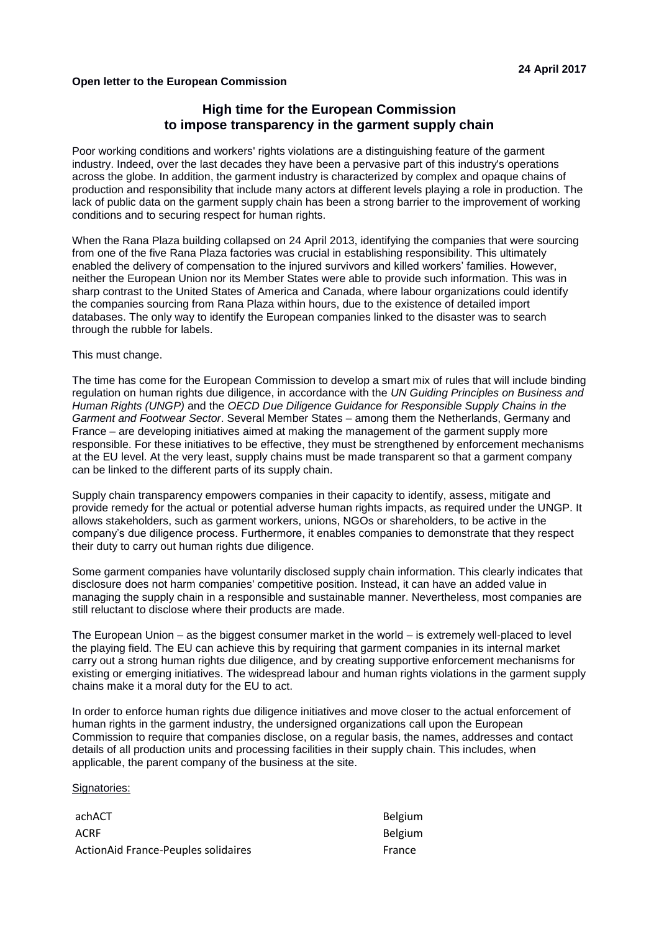## **Open letter to the European Commission**

## **High time for the European Commission to impose transparency in the garment supply chain**

Poor working conditions and workers' rights violations are a distinguishing feature of the garment industry. Indeed, over the last decades they have been a pervasive part of this industry's operations across the globe. In addition, the garment industry is characterized by complex and opaque chains of production and responsibility that include many actors at different levels playing a role in production. The lack of public data on the garment supply chain has been a strong barrier to the improvement of working conditions and to securing respect for human rights.

When the Rana Plaza building collapsed on 24 April 2013, identifying the companies that were sourcing from one of the five Rana Plaza factories was crucial in establishing responsibility. This ultimately enabled the delivery of compensation to the injured survivors and killed workers' families. However, neither the European Union nor its Member States were able to provide such information. This was in sharp contrast to the United States of America and Canada, where labour organizations could identify the companies sourcing from Rana Plaza within hours, due to the existence of detailed import databases. The only way to identify the European companies linked to the disaster was to search through the rubble for labels.

This must change.

The time has come for the European Commission to develop a smart mix of rules that will include binding regulation on human rights due diligence, in accordance with the *UN Guiding Principles on Business and Human Rights (UNGP)* and the *OECD Due Diligence Guidance for Responsible Supply Chains in the Garment and Footwear Sector*. Several Member States – among them the Netherlands, Germany and France – are developing initiatives aimed at making the management of the garment supply more responsible. For these initiatives to be effective, they must be strengthened by enforcement mechanisms at the EU level. At the very least, supply chains must be made transparent so that a garment company can be linked to the different parts of its supply chain.

Supply chain transparency empowers companies in their capacity to identify, assess, mitigate and provide remedy for the actual or potential adverse human rights impacts, as required under the UNGP. It allows stakeholders, such as garment workers, unions, NGOs or shareholders, to be active in the company's due diligence process. Furthermore, it enables companies to demonstrate that they respect their duty to carry out human rights due diligence.

Some garment companies have voluntarily disclosed supply chain information. This clearly indicates that disclosure does not harm companies' competitive position. Instead, it can have an added value in managing the supply chain in a responsible and sustainable manner. Nevertheless, most companies are still reluctant to disclose where their products are made.

The European Union – as the biggest consumer market in the world – is extremely well-placed to level the playing field. The EU can achieve this by requiring that garment companies in its internal market carry out a strong human rights due diligence, and by creating supportive enforcement mechanisms for existing or emerging initiatives. The widespread labour and human rights violations in the garment supply chains make it a moral duty for the EU to act.

In order to enforce human rights due diligence initiatives and move closer to the actual enforcement of human rights in the garment industry, the undersigned organizations call upon the European Commission to require that companies disclose, on a regular basis, the names, addresses and contact details of all production units and processing facilities in their supply chain. This includes, when applicable, the parent company of the business at the site.

Signatories:

achACT and the state of the state of the state of the Belgium ACRF Belgium ActionAid France-Peuples solidaires France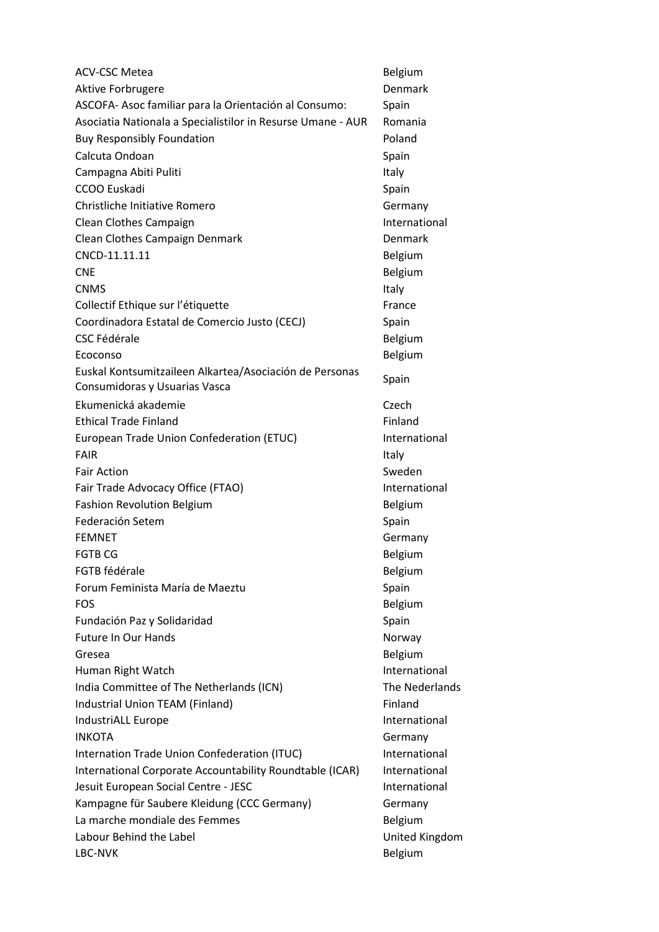| <b>ACV-CSC Metea</b>                                        | Belgium        |
|-------------------------------------------------------------|----------------|
| Aktive Forbrugere                                           | Denmark        |
| ASCOFA- Asoc familiar para la Orientación al Consumo:       | Spain          |
| Asociatia Nationala a Specialistilor in Resurse Umane - AUR | Romania        |
| <b>Buy Responsibly Foundation</b>                           | Poland         |
| Calcuta Ondoan                                              | Spain          |
| Campagna Abiti Puliti                                       | Italy          |
| CCOO Euskadi                                                | Spain          |
| Christliche Initiative Romero                               | Germany        |
| Clean Clothes Campaign                                      | International  |
| Clean Clothes Campaign Denmark                              | Denmark        |
| CNCD-11.11.11                                               | <b>Belgium</b> |
| <b>CNE</b>                                                  | Belgium        |
| <b>CNMS</b>                                                 | Italy          |
| Collectif Ethique sur l'étiquette                           | France         |
| Coordinadora Estatal de Comercio Justo (CECJ)               | Spain          |
| <b>CSC Fédérale</b>                                         | Belgium        |
| Ecoconso                                                    | Belgium        |
| Euskal Kontsumitzaileen Alkartea/Asociación de Personas     |                |
| Consumidoras y Usuarias Vasca                               | Spain          |
| Ekumenická akademie                                         | Czech          |
| <b>Ethical Trade Finland</b>                                | Finland        |
| European Trade Union Confederation (ETUC)                   | International  |
| <b>FAIR</b>                                                 | Italy          |
| <b>Fair Action</b>                                          | Sweden         |
| Fair Trade Advocacy Office (FTAO)                           | International  |
| <b>Fashion Revolution Belgium</b>                           | Belgium        |
| Federación Setem                                            | Spain          |
| <b>FEMNET</b>                                               | Germany        |
| <b>FGTB CG</b>                                              | Belgium        |
| <b>FGTB</b> fédérale                                        | Belgium        |
| Forum Feminista María de Maeztu                             | Spain          |
| <b>FOS</b>                                                  | Belgium        |
| Fundación Paz y Solidaridad                                 | Spain          |
| <b>Future In Our Hands</b>                                  | Norway         |
| Gresea                                                      | Belgium        |
| Human Right Watch                                           | International  |
| India Committee of The Netherlands (ICN)                    | The Nederlands |
| Industrial Union TEAM (Finland)                             | Finland        |
| IndustriALL Europe                                          | International  |
| <b>INKOTA</b>                                               | Germany        |
| Internation Trade Union Confederation (ITUC)                | International  |
| International Corporate Accountability Roundtable (ICAR)    | International  |
| Jesuit European Social Centre - JESC                        | International  |
| Kampagne für Saubere Kleidung (CCC Germany)                 | Germany        |
| La marche mondiale des Femmes                               | Belgium        |
| Labour Behind the Label                                     | United Kingdom |
| LBC-NVK                                                     | Belgium        |